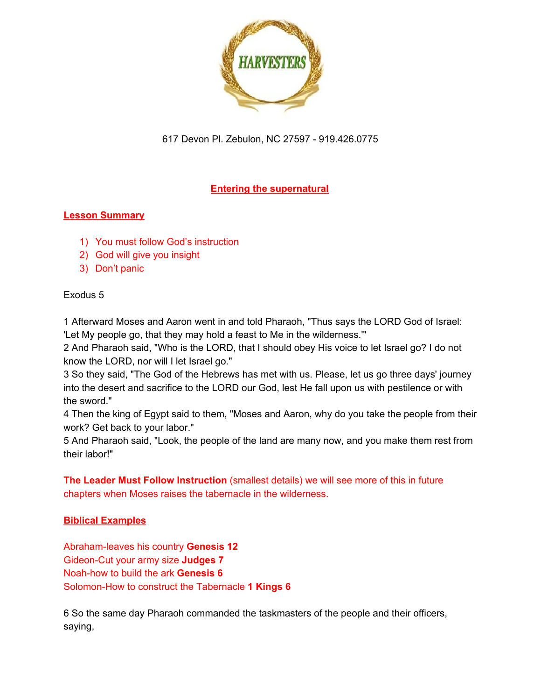

# **Entering the supernatural**

#### **Lesson Summary**

- 1) You must follow God's instruction
- 2) God will give you insight
- 3) Don't panic

#### Exodus 5

1 Afterward Moses and Aaron went in and told Pharaoh, "Thus says the LORD God of Israel: 'Let My people go, that they may hold a feast to Me in the wilderness.'"

2 And Pharaoh said, "Who is the LORD, that I should obey His voice to let Israel go? I do not know the LORD, nor will I let Israel go."

3 So they said, "The God of the Hebrews has met with us. Please, let us go three days' journey into the desert and sacrifice to the LORD our God, lest He fall upon us with pestilence or with the sword."

4 Then the king of Egypt said to them, "Moses and Aaron, why do you take the people from their work? Get back to your labor."

5 And Pharaoh said, "Look, the people of the land are many now, and you make them rest from their labor!"

**The Leader Must Follow Instruction** (smallest details) we will see more of this in future chapters when Moses raises the tabernacle in the wilderness.

## **Biblical Examples**

Abraham-leaves his country **Genesis 12** Gideon-Cut your army size **Judges 7** Noah-how to build the ark **Genesis 6** Solomon-How to construct the Tabernacle **1 Kings 6**

6 So the same day Pharaoh commanded the taskmasters of the people and their officers, saying,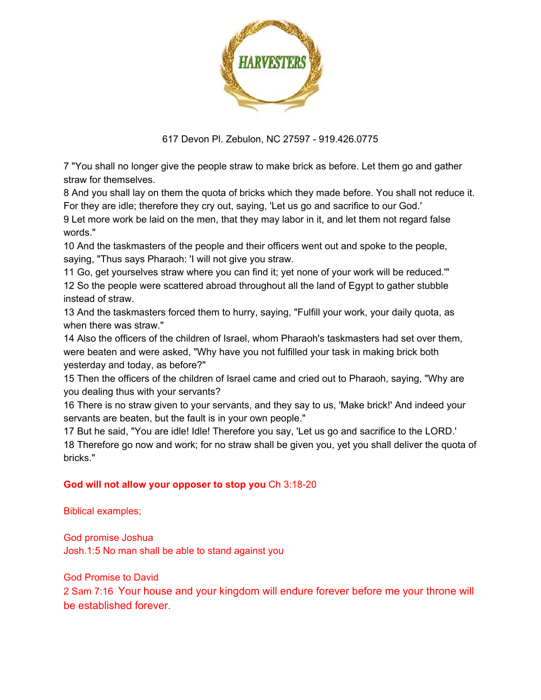

7 "You shall no longer give the people straw to make brick as before. Let them go and gather straw for themselves.

8 And you shall lay on them the quota of bricks which they made before. You shall not reduce it. For they are idle; therefore they cry out, saying, 'Let us go and sacrifice to our God.'

9 Let more work be laid on the men, that they may labor in it, and let them not regard false words."

10 And the taskmasters of the people and their officers went out and spoke to the people, saying, "Thus says Pharaoh: 'I will not give you straw.

11 Go, get yourselves straw where you can find it; yet none of your work will be reduced.'" 12 So the people were scattered abroad throughout all the land of Egypt to gather stubble instead of straw.

13 And the taskmasters forced them to hurry, saying, "Fulfill your work, your daily quota, as when there was straw."

14 Also the officers of the children of Israel, whom Pharaoh's taskmasters had set over them, were beaten and were asked, "Why have you not fulfilled your task in making brick both yesterday and today, as before?"

15 Then the officers of the children of Israel came and cried out to Pharaoh, saying, "Why are you dealing thus with your servants?

16 There is no straw given to your servants, and they say to us, 'Make brick!' And indeed your servants are beaten, but the fault is in your own people."

17 But he said, "You are idle! Idle! Therefore you say, 'Let us go and sacrifice to the LORD.' 18 Therefore go now and work; for no straw shall be given you, yet you shall deliver the quota of bricks."

#### **God will not allow your opposer to stop you Ch 3:18-20**

Biblical examples;

God promise Joshua Josh.1:5 No man shall be able to stand against you

God Promise to David

2 Sam 7:16 Your house and your kingdom will endure forever before me your throne will be established forever.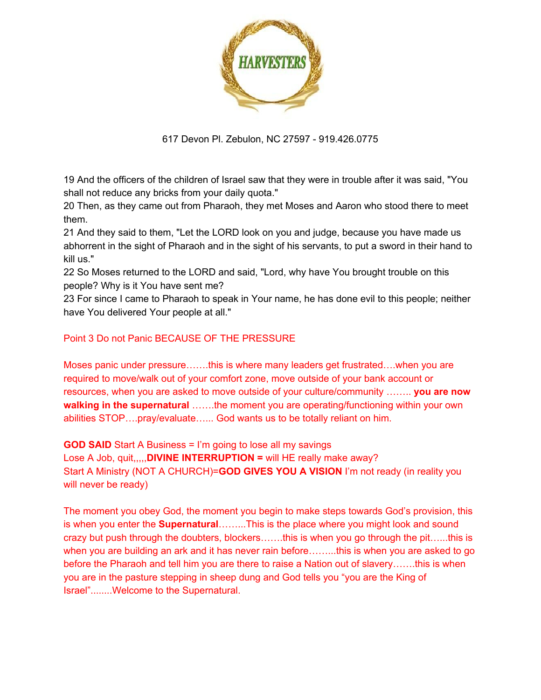

19 And the officers of the children of Israel saw that they were in trouble after it was said, "You shall not reduce any bricks from your daily quota."

20 Then, as they came out from Pharaoh, they met Moses and Aaron who stood there to meet them.

21 And they said to them, "Let the LORD look on you and judge, because you have made us abhorrent in the sight of Pharaoh and in the sight of his servants, to put a sword in their hand to kill us."

22 So Moses returned to the LORD and said, "Lord, why have You brought trouble on this people? Why is it You have sent me?

23 For since I came to Pharaoh to speak in Your name, he has done evil to this people; neither have You delivered Your people at all."

## Point 3 Do not Panic BECAUSE OF THE PRESSURE

Moses panic under pressure…….this is where many leaders get frustrated….when you are required to move/walk out of your comfort zone, move outside of your bank account or resources, when you are asked to move outside of your culture/community …….. **you are now walking in the supernatural** …….the moment you are operating/functioning within your own abilities STOP….pray/evaluate…... God wants us to be totally reliant on him.

**GOD SAID** Start A Business = I'm going to lose all my savings Lose A Job, quit,,,,,**DIVINE INTERRUPTION =** will HE really make away? Start A Ministry (NOT A CHURCH)=**GOD GIVES YOU A VISION** I'm not ready (in reality you will never be ready)

The moment you obey God, the moment you begin to make steps towards God's provision, this is when you enter the **Supernatural**……...This is the place where you might look and sound crazy but push through the doubters, blockers…….this is when you go through the pit…...this is when you are building an ark and it has never rain before........this is when you are asked to go before the Pharaoh and tell him you are there to raise a Nation out of slavery…….this is when you are in the pasture stepping in sheep dung and God tells you "you are the King of Israel"........Welcome to the Supernatural.